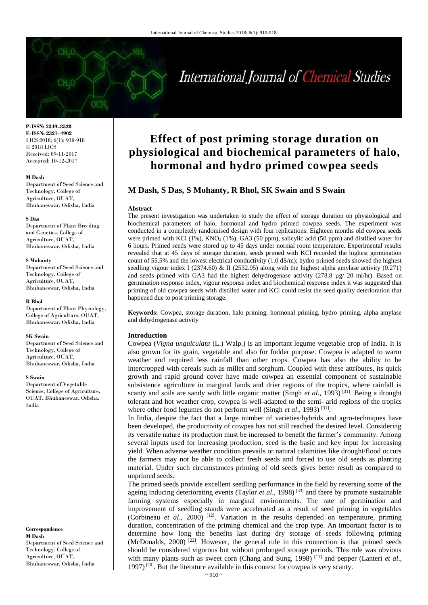# International Journal of Chemical Studies

**P-ISSN: 2349–8528 E-ISSN: 2321–4902** IJCS 2018; 6(1): 910-918 © 2018 IJCS Received: 09-11-2017 Accepted: 10-12-2017

#### **M Dash**

Department of Seed Science and Technology, College of Agriculture, OUAT, Bhubaneswar, Odisha, India

#### **S Das**

Department of Plant Breeding and Genetics, College of Agriculture, OUAT, Bhubaneswar, Odisha, India

#### **S Mohanty**

Department of Seed Science and Technology, College of Agriculture, OUAT, Bhubaneswar, Odisha, India

#### **R Bhol**

Department of Plant Physiology, College of Agriculture, OUAT, Bhubaneswar, Odisha, India

#### **SK Swain**

Department of Seed Science and Technology, College of Agriculture, OUAT, Bhubaneswar, Odisha, India

#### **S Swain**

Department of Vegetable Science, College of Agriculture, OUAT, Bhubaneswar, Odisha, India

**Correspondence M Dash** Department of Seed Science and Technology, College of Agriculture, OUAT, Bhubaneswar, Odisha, India

# **Effect of post priming storage duration on physiological and biochemical parameters of halo, hormonal and hydro primed cowpea seeds**

# **M Dash, S Das, S Mohanty, R Bhol, SK Swain and S Swain**

#### **Abstract**

The present investigation was undertaken to study the effect of storage duration on physiological and biochemical parameters of halo, hormonal and hydro primed cowpea seeds. The experiment was conducted in a completely randomised design with four replications. Eighteen months old cowpea seeds were primed with KCl (1%), KNO<sub>3</sub> (1%), GA3 (50 ppm), salicylic acid (50 ppm) and distilled water for 6 hours. Primed seeds were stored up to 45 days under normal room temperature. Experimental results revealed that at 45 days of storage duration, seeds primed with KCl recorded the highest germination count of 55.5% and the lowest electrical conductivity (1.0 dS/m); hydro primed seeds showed the highest seedling vigour index I (2374.60) & II (2532.95) along with the highest alpha amylase activity (0.271) and seeds primed with GA3 had the highest dehydrogenase activity  $(278.8 \text{ µg}/ 20 \text{ ml/hr})$ . Based on germination response index, vigour response index and biochemical response index it was suggested that priming of old cowpea seeds with distilled water and KCl could resist the seed quality deterioration that happened due to post priming storage.

**Keywords:** Cowpea, storage duration, halo priming, hormonal priming, hydro priming, alpha amylase and dehydrogenase activity

#### **Introduction**

Cowpea (*Vigna unguiculata* (L.) Walp.) is an important legume vegetable crop of India. It is also grown for its grain, vegetable and also for fodder purpose. Cowpea is adapted to warm weather and required less rainfall than other crops. Cowpea has also the ability to be intercropped with cereals such as millet and sorghum. Coupled with these attributes, its quick growth and rapid ground cover have made cowpea an essential component of sustainable subsistence agriculture in marginal lands and drier regions of the tropics, where rainfall is scanty and soils are sandy with little organic matter (Singh *et al.*, 1993)<sup>[31]</sup>. Being a drought tolerant and hot weather crop, cowpea is well-adapted to the semi- arid regions of the tropics where other food legumes do not perform well (Singh *et al.*, 1993)<sup>[31]</sup>.

In India, despite the fact that a large number of varieties/hybrids and agro-techniques have been developed, the productivity of cowpea has not still reached the desired level. Considering its versatile nature its production must be increased to benefit the farmer's community. Among several inputs used for increasing production, seed is the basic and key input for increasing yield. When adverse weather condition prevails or natural calamities like drought/flood occurs the farmers may not be able to collect fresh seeds and forced to use old seeds as planting material. Under such circumstances priming of old seeds gives better result as compared to unprimed seeds.

The primed seeds provide excellent seedling performance in the field by reversing some of the ageing inducing deteriorating events (Taylor *et al*., 1998) [33] and there by promote sustainable farming systems especially in marginal environments. The rate of germination and improvement of seedling stands were accelerated as a result of seed priming in vegetables (Corbineau *et al.*, 2000)<sup>[12]</sup>. Variation in the results depended on temperature, priming duration, concentration of the priming chemical and the crop type. An important factor is to determine how long the benefits last during dry storage of seeds following priming (McDonalds, 2000)  $[22]$ . However, the general rule in this connection is that primed seeds should be considered vigorous but without prolonged storage periods. This rule was obvious with many plants such as sweet corn (Chang and Sung, 1998)<sup>[11]</sup> and pepper (Lanteri *et al.*, 1997)  $[20]$ . But the literature available in this context for cowpea is very scanty.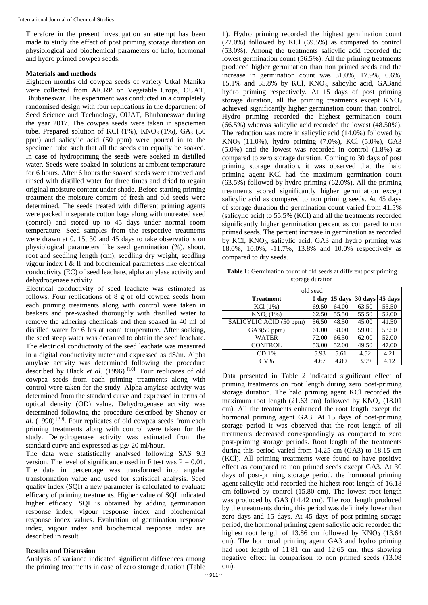Therefore in the present investigation an attempt has been made to study the effect of post priming storage duration on physiological and biochemical parameters of halo, hormonal and hydro primed cowpea seeds.

## **Materials and methods**

Eighteen months old cowpea seeds of variety Utkal Manika were collected from AICRP on Vegetable Crops, OUAT, Bhubaneswar. The experiment was conducted in a completely randomised design with four replications in the department of Seed Science and Technology, OUAT, Bhubaneswar during the year 2017. The cowpea seeds were taken in speciemen tube. Prepared solution of KCl  $(1\%)$ , KNO<sub>3</sub>  $(1\%)$ , GA<sub>3</sub>  $(50\%)$ ppm) and salicylic acid (50 ppm) were poured in to the specimen tube such that all the seeds can equally be soaked. In case of hydropriming the seeds were soaked in distilled water. Seeds were soaked in solutions at ambient temperature for 6 hours. After 6 hours the soaked seeds were removed and rinsed with distilled water for three times and dried to regain original moisture content under shade. Before starting priming treatment the moisture content of fresh and old seeds were determined. The seeds treated with different priming agents were packed in separate cotton bags along with untreated seed (control) and stored up to 45 days under normal room temperature. Seed samples from the respective treatments were drawn at 0, 15, 30 and 45 days to take observations on physiological parameters like seed germination (%), shoot, root and seedling length (cm), seedling dry weight, seedling vigour index I & II and biochemical parameters like electrical conductivity (EC) of seed leachate, alpha amylase activity and dehydrogenase activity.

Electrical conductivity of seed leachate was estimated as follows. Four replications of 8 g of old cowpea seeds from each priming treatments along with control were taken in beakers and pre-washed thoroughly with distilled water to remove the adhering chemicals and then soaked in 40 ml of distilled water for 6 hrs at room temperature. After soaking, the seed steep water was decanted to obtain the seed leachate. The electrical conductivity of the seed leachate was measured in a digital conductivity meter and expressed as dS/m. Alpha amylase activity was determined following the procedure described by Black *et al.* (1996)<sup>[10]</sup>. Four replicates of old cowpea seeds from each priming treatments along with control were taken for the study. Alpha amylase activity was determined from the standard curve and expressed in terms of optical density (OD) value. Dehydrogenase activity was determined following the procedure described by Shenoy *et al.* (1990)<sup>[30]</sup>. Four replicates of old cowpea seeds from each priming treatments along with control were taken for the study. Dehydrogenase activity was estimated from the standard curve and expressed as  $\mu$ g/ 20 ml/hour.

The data were statistically analysed following SAS 9.3 version. The level of significance used in F test was  $P = 0.01$ . The data in percentage was transformed into angular transformation value and used for statistical analysis. Seed quality index (SQI) a new parameter is calculated to evaluate efficacy of priming treatments. Higher value of SQI indicated higher efficacy. SQI is obtained by adding germination response index, vigour response index and biochemical response index values. Evaluation of germination response index, vigour index and biochemical response index are described in result.

# **Results and Discussion**

Analysis of variance indicated significant differences among the priming treatments in case of zero storage duration (Table

1). Hydro priming recorded the highest germination count (72.0%) followed by KCl (69.5%) as compared to control (53.0%). Among the treatments salicylic acid recorded the lowest germination count (56.5%). All the priming treatments produced higher germination than non primed seeds and the increase in germination count was 31.0%, 17.9%, 6.6%, 15.1% and 35.8% by KCl, KNO3, salicylic acid, GA3and hydro priming respectively. At 15 days of post priming storage duration, all the priming treatments except  $KNO<sub>3</sub>$ achieved significantly higher germination count than control. Hydro priming recorded the highest germination count (66.5%) whereas salicylic acid recorded the lowest (48.50%). The reduction was more in salicylic acid (14.0%) followed by KNO3 (11.0%), hydro priming (7.0%), KCl (5.0%), GA3 (5.0%) and the lowest was recorded in control (1.8%) as compared to zero storage duration. Coming to 30 days of post priming storage duration, it was observed that the halo priming agent KCl had the maximum germination count (63.5%) followed by hydro priming (62.0%). All the priming treatments scored significantly higher germination except salicylic acid as compared to non priming seeds. At 45 days of storage duration the germination count varied from 41.5% (salicylic acid) to 55.5% (KCl) and all the treatments recorded significantly higher germination percent as compared to non primed seeds. The percent increase in germination as recorded by KCl, KNO3, salicylic acid, GA3 and hydro priming was 18.0%, 10.0%, -11.7%, 13.8% and 10.0% respectively as compared to dry seeds.

Table 1: Germination count of old seeds at different post priming storage duration

| old seed                |                  |         |         |         |  |  |  |
|-------------------------|------------------|---------|---------|---------|--|--|--|
| <b>Treatment</b>        | 0 <sub>day</sub> | 15 days | 30 days | 45 days |  |  |  |
| $KCl(1\%)$              | 69.50            | 64.00   | 63.50   | 55.50   |  |  |  |
| $KNO_3(1%)$             | 62.50            | 55.50   | 55.50   | 52.00   |  |  |  |
| SALICYLIC ACID (50 ppm) | 56.50            | 48.50   | 45.00   | 41.50   |  |  |  |
| GA3(50 ppm)             | 61.00            | 58.00   | 59.00   | 53.50   |  |  |  |
| <b>WATER</b>            | 72.00            | 66.50   | 62.00   | 52.00   |  |  |  |
| <b>CONTROL</b>          | 53.00            | 52.00   | 49.50   | 47.00   |  |  |  |
| CD <sub>1%</sub>        | 5.93             | 5.61    | 4.52    | 4.21    |  |  |  |
| $CV\%$                  | 4.67             | 4.80    | 3.99    | 4.12    |  |  |  |

Data presented in Table 2 indicated significant effect of priming treatments on root length during zero post-priming storage duration. The halo priming agent KCl recorded the maximum root length (21.63 cm) followed by  $KNO<sub>3</sub>$  (18.01 cm). All the treatments enhanced the root length except the hormonal priming agent GA3. At 15 days of post-priming storage period it was observed that the root length of all treatments decreased correspondingly as compared to zero post-priming storage periods. Root length of the treatments during this period varied from 14.25 cm (GA3) to 18.15 cm (KCl). All priming treatments were found to have positive effect as compared to non primed seeds except GA3. At 30 days of post-priming storage period, the hormonal priming agent salicylic acid recorded the highest root length of 16.18 cm followed by control (15.80 cm). The lowest root length was produced by GA3 (14.42 cm). The root length produced by the treatments during this period was definitely lower than zero days and 15 days. At 45 days of post-priming storage period, the hormonal priming agent salicylic acid recorded the highest root length of  $13.86$  cm followed by  $KNO<sub>3</sub>$  (13.64) cm). The hormonal priming agent GA3 and hydro priming had root length of 11.81 cm and 12.65 cm, thus showing negative effect in comparison to non primed seeds (13.08 cm).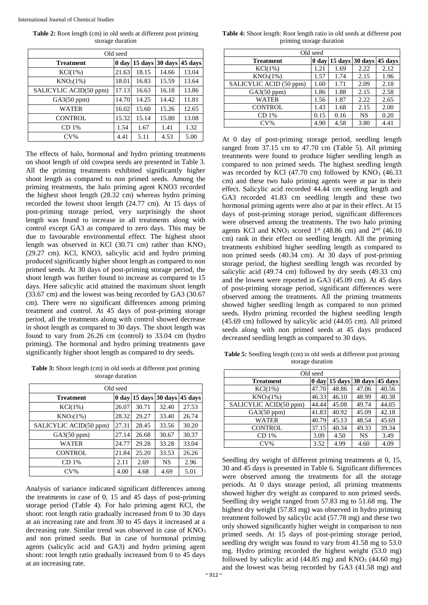International Journal of Chemical Studies

**Table 2:** Root length (cm) in old seeds at different post priming storage duration

| Old seed               |                  |         |         |         |  |  |
|------------------------|------------------|---------|---------|---------|--|--|
| <b>Treatment</b>       | 0 <sub>day</sub> | 15 days | 30 days | 45 days |  |  |
| $KCl(1\%)$             | 21.63            | 18.15   | 14.66   | 13.04   |  |  |
| $KNO_3(1%)$            | 18.01            | 16.83   | 15.59   | 13.64   |  |  |
| SALICYLIC ACID(50 ppm) | 17.13            | 16.63   | 16.18   | 13.86   |  |  |
| GA3(50 ppm)            | 14.70            | 14.25   | 14.42   | 11.81   |  |  |
| WATER                  | 16.02            | 15.60   | 15.26   | 12.65   |  |  |
| <b>CONTROL</b>         | 15.32            | 15.14   | 15.80   | 13.08   |  |  |
| CD <sub>1%</sub>       | 1.54             | 1.67    | 1.41    | 1.32    |  |  |
| $CV\%$                 | 4.41             | 5.11    | 4.53    | 5.00    |  |  |

The effects of halo, hormonal and hydro priming treatments on shoot length of old cowpea seeds are presented in Table 3. All the priming treatments exhibited significantly higher shoot length as compared to non primed seeds. Among the priming treatments, the halo priming agent KNO3 recorded the highest shoot length (28.32 cm) whereas hydro priming recorded the lowest shoot length (24.77 cm). At 15 days of post-priming storage period, very surprisingly the shoot length was found to increase in all treatments along with control except GA3 as compared to zero days. This may be due to favourable environmental effect. The highest shoot length was observed in KCl (30.71 cm) rather than KNO<sub>3</sub> (29.27 cm). KCl, KNO3, salicylic acid and hydro priming produced significantly higher shoot length as compared to non primed seeds. At 30 days of post-priming storage period, the shoot length was further found to increase as compared to 15 days. Here salicylic acid attained the maximum shoot length (33.67 cm) and the lowest was being recorded by GA3 (30.67 cm). There were no significant differences among priming treatment and control. At 45 days of post-priming storage period, all the treatments along with control showed decrease in shoot length as compared to 30 days. The shoot length was found to vary from 26.26 cm (control) to 33.04 cm (hydro priming). The hormonal and hydro priming treatments gave significantly higher shoot length as compared to dry seeds.

**Table 3:** Shoot length (cm) in old seeds at different post priming storage duration

| Old seed               |       |                         |           |         |  |  |
|------------------------|-------|-------------------------|-----------|---------|--|--|
| <b>Treatment</b>       |       | $0 \text{ day}$ 15 days | 30 days   | 45 days |  |  |
| $KCl(1\%)$             | 26.07 | 30.71                   | 32.40     | 27.53   |  |  |
| $KNO_3(1%)$            | 28.32 | 29.27                   | 33.40     | 26.74   |  |  |
| SALICYLIC ACID(50 ppm) | 27.31 | 28.45                   | 33.56     | 30.20   |  |  |
| GA3(50 ppm)            | 27.14 | 26.68                   | 30.67     | 30.37   |  |  |
| WATER                  | 24.77 | 29.28                   | 33.28     | 33.04   |  |  |
| <b>CONTROL</b>         | 21.84 | 25.20                   | 33.53     | 26.26   |  |  |
| CD 1%                  | 2.11  | 2.69                    | <b>NS</b> | 2.96    |  |  |
| $CV\%$                 | 4.00  | 4.68                    | 4.69      | 5.01    |  |  |

Analysis of variance indicated significant differences among the treatments in case of 0, 15 and 45 days of post-priming storage period (Table 4). For halo priming agent KCl, the shoot: root length ratio gradually increased from 0 to 30 days at an increasing rate and from 30 to 45 days it increased at a decreasing rate. Similar trend was observed in case of KNO<sub>3</sub> and non primed seeds. But in case of hormonal priming agents (salicylic acid and GA3) and hydro priming agent shoot: root length ratio gradually increased from 0 to 45 days at an increasing rate.

**Table 4:** Shoot length: Root length ratio in old seeds at different post priming storage duration

| Old seed                |      |                                 |           |         |  |  |
|-------------------------|------|---------------------------------|-----------|---------|--|--|
| <b>Treatment</b>        |      | $0 \text{ day}$ 15 days 30 days |           | 45 days |  |  |
| $KCl(1\%)$              | 1.21 | 1.69                            | 2.22      | 2.12    |  |  |
| KNO <sub>3</sub> (1%)   | 1.57 | 1.74                            | 2.15      | 1.96    |  |  |
| SALICYLIC ACID (50 ppm) | 1.60 | 1.71                            | 2.09      | 2.18    |  |  |
| GA3(50 ppm)             | 1.86 | 1.88                            | 2.15      | 2.58    |  |  |
| <b>WATER</b>            | 1.56 | 1.87                            | 2.22      | 2.65    |  |  |
| <b>CONTROL</b>          | 1.43 | 1.68                            | 2.15      | 2.00    |  |  |
| CD 1%                   | 0.15 | 0.16                            | <b>NS</b> | 0.20    |  |  |
| $CV\%$                  | 4.90 | 4.58                            | 3.80      | 4.41    |  |  |

At 0 day of post-priming storage period, seedling length ranged from 37.15 cm to 47.70 cm (Table 5). All priming treatments were found to produce higher seedling length as compared to non primed seeds. The highest seedling length was recorded by KCl  $(47.70 \text{ cm})$  followed by KNO<sub>3</sub>  $(46.33)$ cm) and these two halo priming agents were at par in their effect. Salicylic acid recorded 44.44 cm seedling length and GA3 recorded 41.83 cm seedling length and these two hormonal priming agents were also at par in their effect. At 15 days of post-priming storage period, significant differences were observed among the treatments. The two halo priming agents KCl and KNO<sub>3</sub> scored 1<sup>st</sup> (48.86 cm) and  $2<sup>nd</sup>$  (46.10 cm) rank in their effect on seedling length. All the priming treatments exhibited higher seedling length as compared to non primed seeds (40.34 cm). At 30 days of post-priming storage period, the highest seedling length was recorded by salicylic acid (49.74 cm) followed by dry seeds (49.33 cm) and the lowest were reported in GA3 (45.09 cm). At 45 days of post-priming storage period, significant differences were observed among the treatments. All the priming treatments showed higher seedling length as compared to non primed seeds. Hydro priming recorded the highest seedling length (45.69 cm) followed by salicylic acid (44.05 cm). All primed seeds along with non primed seeds at 45 days produced decreased seedling length as compared to 30 days.

**Table 5:** Seedling length (cm) in old seeds at different post priming storage duration

| Old seed               |                  |         |           |         |  |  |  |
|------------------------|------------------|---------|-----------|---------|--|--|--|
| <b>Treatment</b>       | 0 <sub>day</sub> | 15 days | 30 days   | 45 days |  |  |  |
| $KCl(1\%)$             | 47.70            | 48.86   | 47.06     | 40.56   |  |  |  |
| $KNO_3(1%)$            | 46.33            | 46.10   | 48.99     | 40.38   |  |  |  |
| SALICYLIC ACID(50 ppm) | 44.44            | 45.08   | 49.74     | 44.05   |  |  |  |
| GA3(50 ppm)            | 41.83            | 40.92   | 45.09     | 42.18   |  |  |  |
| <b>WATER</b>           | 40.79            | 45.13   | 48.54     | 45.69   |  |  |  |
| <b>CONTROL</b>         | 37.15            | 40.34   | 49.33     | 39.34   |  |  |  |
| CD <sub>1%</sub>       | 3.09             | 4.50    | <b>NS</b> | 3.49    |  |  |  |
| $CV\%$                 | 3.52             | 4.99    | 4.60      | 4.09    |  |  |  |

Seedling dry weight of different priming treatments at 0, 15, 30 and 45 days is presented in Table 6. Significant differences were observed among the treatments for all the storage periods. At 0 days storage period, all priming treatments showed higher dry weight as compared to non primed seeds. Seedling dry weight ranged from 57.83 mg to 51.68 mg. The highest dry weight (57.83 mg) was observed in hydro priming treatment followed by salicylic acid (57.78 mg) and these two only showed significantly higher weight in comparison to non primed seeds. At 15 days of post-priming storage period, seedling dry weight was found to vary from 41.58 mg to 53.0 mg. Hydro priming recorded the highest weight (53.0 mg) followed by salicylic acid  $(44.85 \text{ mg})$  and  $\text{KNO}_3$   $(44.60 \text{ mg})$ and the lowest was being recorded by GA3 (41.58 mg) and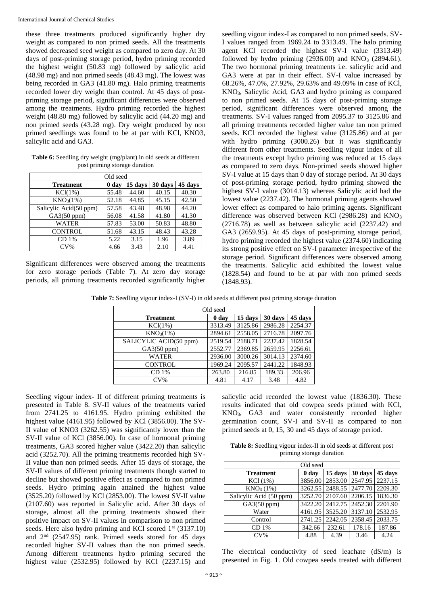these three treatments produced significantly higher dry weight as compared to non primed seeds. All the treatments showed decreased seed weight as compared to zero day. At 30 days of post-priming storage period, hydro priming recorded the highest weight (50.83 mg) followed by salicylic acid (48.98 mg) and non primed seeds (48.43 mg). The lowest was being recorded in GA3 (41.80 mg). Halo priming treatments recorded lower dry weight than control. At 45 days of postpriming storage period, significant differences were observed among the treatments. Hydro priming recorded the highest weight (48.80 mg) followed by salicylic acid (44.20 mg) and non primed seeds (43.28 mg). Dry weight produced by non primed seedlings was found to be at par with KCl, KNO3, salicylic acid and GA3.

**Table 6:** Seedling dry weight (mg/plant) in old seeds at different post priming storage duration

| Old seed               |       |         |         |         |  |  |  |  |
|------------------------|-------|---------|---------|---------|--|--|--|--|
| <b>Treatment</b>       | 0 day | 15 days | 30 days | 45 days |  |  |  |  |
| $KCl(1\%)$             | 55.48 | 44.60   | 40.15   | 40.30   |  |  |  |  |
| KNO <sub>3</sub> (1%)  | 52.18 | 44.85   | 45.15   | 42.50   |  |  |  |  |
| Salicylic Acid(50 ppm) | 57.58 | 43.48   | 48.98   | 44.20   |  |  |  |  |
| GA3(50 ppm)            | 56.08 | 41.58   | 41.80   | 41.30   |  |  |  |  |
| WATER                  | 57.83 | 53.00   | 50.83   | 48.80   |  |  |  |  |
| <b>CONTROL</b>         | 51.68 | 43.15   | 48.43   | 43.28   |  |  |  |  |
| CD 1%                  | 5.22  | 3.15    | 1.96    | 3.89    |  |  |  |  |
| $CV\%$                 | 4.66  | 3.43    | 2.10    | 4.41    |  |  |  |  |

Significant differences were observed among the treatments for zero storage periods (Table 7). At zero day storage periods, all priming treatments recorded significantly higher

seedling vigour index-I as compared to non primed seeds. SV-I values ranged from 1969.24 to 3313.49. The halo priming agent KCl recorded the highest SV-I value (3313.49) followed by hydro priming  $(2936.00)$  and  $KNO<sub>3</sub>$   $(2894.61)$ . The two hormonal priming treatments i.e. salicylic acid and GA3 were at par in their effect. SV-I value increased by 68.26%, 47.0%, 27.92%, 29.63% and 49.09% in case of KCl, KNO3, Salicylic Acid, GA3 and hydro priming as compared to non primed seeds. At 15 days of post-priming storage period, significant differences were observed among the treatments. SV-I values ranged from 2095.37 to 3125.86 and all priming treatments recorded higher value tan non primed seeds. KCl recorded the highest value (3125.86) and at par with hydro priming (3000.26) but it was significantly different from other treatments. Seedling vigour index of all the treatments except hydro priming was reduced at 15 days as compared to zero days. Non-primed seeds showed higher SV-I value at 15 days than 0 day of storage period. At 30 days of post-priming storage period, hydro priming showed the highest SV-I value (3014.13) whereas Salicylic acid had the lowest value (2237.42). The hormonal priming agents showed lower effect as compared to halo priming agents. Significant difference was observed between KCl (2986.28) and  $KNO<sub>3</sub>$ (2716.78) as well as between salicylic acid (2237.42) and GA3 (2659.95). At 45 days of post-priming storage period, hydro priming recorded the highest value (2374.60) indicating its strong positive effect on SV-I parameter irrespective of the storage period. Significant differences were observed among the treatments. Salicylic acid exhibited the lowest value (1828.54) and found to be at par with non primed seeds (1848.93).

**Table 7:** Seedling vigour index-I (SV-I) in old seeds at different post priming storage duration

| Old seed               |         |         |         |         |  |  |  |
|------------------------|---------|---------|---------|---------|--|--|--|
| <b>Treatment</b>       | 0 day   | 15 days | 30 days | 45 days |  |  |  |
| $KCl(1\%)$             | 3313.49 | 3125.86 | 2986.28 | 2254.37 |  |  |  |
| $KNO_3(1%)$            | 2894.61 | 2558.05 | 2716.78 | 2097.76 |  |  |  |
| SALICYLIC ACID(50 ppm) | 2519.54 | 2188.71 | 2237.42 | 1828.54 |  |  |  |
| GA3(50 ppm)            | 2552.77 | 2369.85 | 2659.95 | 2256.61 |  |  |  |
| <b>WATER</b>           | 2936.00 | 3000.26 | 3014.13 | 2374.60 |  |  |  |
| <b>CONTROL</b>         | 1969.24 | 2095.57 | 2441.22 | 1848.93 |  |  |  |
| CD 1%                  | 263.80  | 216.85  | 189.33  | 206.96  |  |  |  |
| $CV\%$                 | 4.81    | 4.17    | 3.48    | 4.82    |  |  |  |

Seedling vigour index- II of different priming treatments is presented in Table 8. SV-II values of the treatments varied from 2741.25 to 4161.95. Hydro priming exhibited the highest value (4161.95) followed by KCl (3856.00). The SV-II value of KNO3 (3262.55) was significantly lower than the SV-II value of KCl (3856.00). In case of hormonal priming treatments, GA3 scored higher value (3422.20) than salicylic acid (3252.70). All the priming treatments recorded high SV-II value than non primed seeds. After 15 days of storage, the SV-II values of different priming treatments though started to decline but showed positive effect as compared to non primed seeds. Hydro priming again attained the highest value (3525.20) followed by KCl (2853.00). The lowest SV-II value (2107.60) was reported in Salicylic acid. After 30 days of storage, almost all the priming treatments showed their positive impact on SV-II values in comparison to non primed seeds. Here also hydro priming and KCl scored  $1<sup>st</sup>$  (3137.10) and 2nd (2547.95) rank. Primed seeds stored for 45 days recorded higher SV-II values than the non primed seeds. Among different treatments hydro priming secured the highest value (2532.95) followed by KCl (2237.15) and

salicylic acid recorded the lowest value (1836.30). These results indicated that old cowpea seeds primed with KCl, KNO3, GA3 and water consistently recorded higher germination count, SV-I and SV-II as compared to non primed seeds at 0, 15, 30 and 45 days of storage period.

**Table 8:** Seedling vigour index-II in old seeds at different post priming storage duration

| Old seed                |         |         |                 |         |  |  |  |
|-------------------------|---------|---------|-----------------|---------|--|--|--|
| <b>Treatment</b>        | 0 day   | 15 days | 30 days         | 45 days |  |  |  |
| $KCl(1\%)$              | 3856.00 | 2853.00 | 2547.95 2237.15 |         |  |  |  |
| $KNO_3(1%)$             | 3262.55 | 2488.55 | 2477.70         | 2209.30 |  |  |  |
| Salicylic Acid (50 ppm) | 3252.70 | 2107.60 | 2206.15         | 1836.30 |  |  |  |
| GA3(50 ppm)             | 3422.20 | 2412.75 | 2452.30         | 2201.90 |  |  |  |
| Water                   | 4161.95 | 3525.20 | 3137.10         | 2532.95 |  |  |  |
| Control                 | 2741.25 | 2242.05 | 2358.45         | 2033.75 |  |  |  |
| CD 1%                   | 342.66  | 232.61  | 178.16          | 187.86  |  |  |  |
| $CV\%$                  | 4.88    | 4.39    | 3.46            | 4.24    |  |  |  |

The electrical conductivity of seed leachate (dS/m) is presented in Fig. 1. Old cowpea seeds treated with different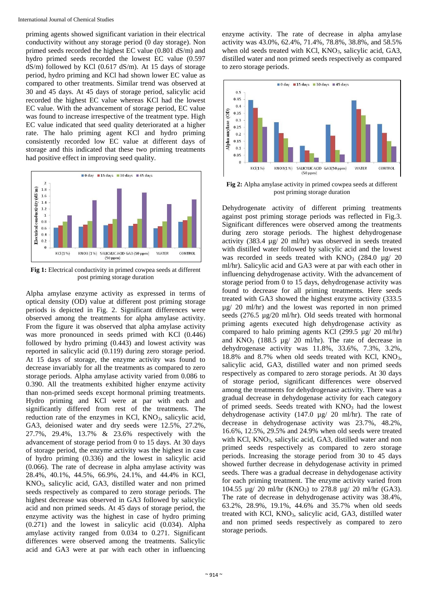priming agents showed significant variation in their electrical conductivity without any storage period (0 day storage). Non primed seeds recorded the highest EC value (0.801 dS/m) and hydro primed seeds recorded the lowest EC value (0.597 dS/m) followed by KCl (0.617 dS/m). At 15 days of storage period, hydro priming and KCl had shown lower EC value as compared to other treatments. Similar trend was observed at 30 and 45 days. At 45 days of storage period, salicylic acid recorded the highest EC value whereas KCl had the lowest EC value. With the advancement of storage period, EC value was found to increase irrespective of the treatment type. High EC value indicated that seed quality deteriorated at a higher rate. The halo priming agent KCl and hydro priming consistently recorded low EC value at different days of storage and this indicated that these two priming treatments had positive effect in improving seed quality.



**Fig 1:** Electrical conductivity in primed cowpea seeds at different post priming storage duration

Alpha amylase enzyme activity as expressed in terms of optical density (OD) value at different post priming storage periods is depicted in Fig. 2. Significant differences were observed among the treatments for alpha amylase activity. From the figure it was observed that alpha amylase activity was more pronounced in seeds primed with KCl (0.446) followed by hydro priming (0.443) and lowest activity was reported in salicylic acid (0.119) during zero storage period. At 15 days of storage, the enzyme activity was found to decrease invariably for all the treatments as compared to zero storage periods. Alpha amylase activity varied from 0.086 to 0.390. All the treatments exhibited higher enzyme activity than non-primed seeds except hormonal priming treatments. Hydro priming and KCl were at par with each and significantly differed from rest of the treatments. The reduction rate of the enzymes in KCl, KNO<sub>3</sub>, salicylic acid, GA3, deionised water and dry seeds were 12.5%, 27.2%, 27.7%, 29.4%, 13.7% & 23.6% respectively with the advancement of storage period from 0 to 15 days. At 30 days of storage period, the enzyme activity was the highest in case of hydro priming (0.336) and the lowest in salicylic acid (0.066). The rate of decrease in alpha amylase activity was 28.4%, 40.1%, 44.5%, 66.9%, 24.1%, and 44.4% in KCl, KNO3, salicylic acid, GA3, distilled water and non primed seeds respectively as compared to zero storage periods. The highest decrease was observed in GA3 followed by salicylic acid and non primed seeds. At 45 days of storage period, the enzyme activity was the highest in case of hydro priming (0.271) and the lowest in salicylic acid (0.034). Alpha amylase activity ranged from 0.034 to 0.271. Significant differences were observed among the treatments. Salicylic acid and GA3 were at par with each other in influencing

enzyme activity. The rate of decrease in alpha amylase activity was 43.0%, 62.4%, 71.4%, 78.8%, 38.8%, and 58.5% when old seeds treated with KCl, KNO<sub>3</sub>, salicylic acid, GA3, distilled water and non primed seeds respectively as compared to zero storage periods.



**Fig 2:** Alpha amylase activity in primed cowpea seeds at different post priming storage duration

Dehydrogenate activity of different priming treatments against post priming storage periods was reflected in Fig.3. Significant differences were observed among the treatments during zero storage periods. The highest dehydrogenase activity (383.4 µg/ 20 ml/hr) was observed in seeds treated with distilled water followed by salicylic acid and the lowest was recorded in seeds treated with  $KNO_3$  (284.0 µg/ 20 ml/hr). Salicylic acid and GA3 were at par with each other in influencing dehydrogenase activity. With the advancement of storage period from 0 to 15 days, dehydrogenase activity was found to decrease for all priming treatments. Here seeds treated with GA3 showed the highest enzyme activity (333.5 µg/ 20 ml/hr) and the lowest was reported in non primed seeds (276.5 µg/20 ml/hr). Old seeds treated with hormonal priming agents executed high dehydrogenase activity as compared to halo priming agents KCl (299.5 µg/ 20 ml/hr) and  $KNO_3$  (188.5 µg/ 20 ml/hr). The rate of decrease in dehydrogenase activity was 11.8%, 33.6%, 7.3%, 3.2%, 18.8% and 8.7% when old seeds treated with KCl, KNO<sub>3</sub>, salicylic acid, GA3, distilled water and non primed seeds respectively as compared to zero storage periods. At 30 days of storage period, significant differences were observed among the treatments for dehydrogenase activity. There was a gradual decrease in dehydogenase activity for each category of primed seeds. Seeds treated with  $KNO<sub>3</sub>$  had the lowest dehydrogenase activity (147.0 µg/ 20 ml/hr). The rate of decrease in dehydrogenase activity was 23.7%, 48.2%, 16.6%, 12.5%, 29.5% and 24.9% when old seeds were treated with KCl, KNO<sub>3</sub>, salicylic acid, GA3, distilled water and non primed seeds respectively as compared to zero storage periods. Increasing the storage period from 30 to 45 days showed further decrease in dehydogenase activity in primed seeds. There was a gradual decrease in dehydogenase activity for each priming treatment. The enzyme activity varied from 104.55  $\mu$ g/ 20 ml/hr (KNO<sub>3</sub>) to 278.8  $\mu$ g/ 20 ml/hr (GA3). The rate of decrease in dehydrogenase activity was 38.4%, 63.2%, 28.9%, 19.1%, 44.6% and 35.7% when old seeds treated with KCl, KNO3, salicylic acid, GA3, distilled water and non primed seeds respectively as compared to zero storage periods.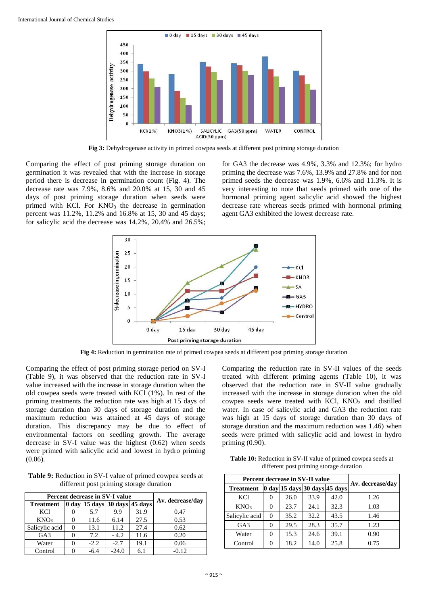

**Fig 3:** Dehydrogenase activity in primed cowpea seeds at different post priming storage duration

Comparing the effect of post priming storage duration on germination it was revealed that with the increase in storage period there is decrease in germination count (Fig. 4). The decrease rate was 7.9%, 8.6% and 20.0% at 15, 30 and 45 days of post priming storage duration when seeds were primed with KCl. For  $KNO<sub>3</sub>$  the decrease in germination percent was 11.2%, 11.2% and 16.8% at 15, 30 and 45 days; for salicylic acid the decrease was 14.2%, 20.4% and 26.5%; for GA3 the decrease was 4.9%, 3.3% and 12.3%; for hydro priming the decrease was 7.6%, 13.9% and 27.8% and for non primed seeds the decrease was 1.9%, 6.6% and 11.3%. It is very interesting to note that seeds primed with one of the hormonal priming agent salicylic acid showed the highest decrease rate whereas seeds primed with hormonal priming agent GA3 exhibited the lowest decrease rate.



**Fig 4:** Reduction in germination rate of primed cowpea seeds at different post priming storage duration

Comparing the effect of post priming storage period on SV-I (Table 9), it was observed that the reduction rate in SV-I value increased with the increase in storage duration when the old cowpea seeds were treated with KCl (1%). In rest of the priming treatments the reduction rate was high at 15 days of storage duration than 30 days of storage duration and the maximum reduction was attained at 45 days of storage duration. This discrepancy may be due to effect of environmental factors on seedling growth. The average decrease in SV-I value was the highest (0.62) when seeds were primed with salicylic acid and lowest in hydro priming (0.06).

**Table 9:** Reduction in SV-I value of primed cowpea seeds at different post priming storage duration

| Percent decrease in SV-I value |  |                               |         |      |                  |
|--------------------------------|--|-------------------------------|---------|------|------------------|
| <b>Treatment</b>               |  | 0 day 15 days 30 days 45 days |         |      | Av. decrease/day |
| KCl                            |  | 5.7                           | 9.9     | 31.9 | 0.47             |
| KNO <sub>3</sub>               |  | 11.6                          | 6.14    | 27.5 | 0.53             |
| Salicylic acid                 |  | 13.1                          | 11.2    | 27.4 | 0.62             |
| GA <sub>3</sub>                |  | 7.2                           | $-4.2$  | 11.6 | 0.20             |
| Water                          |  | $-2.2$                        | $-2.7$  | 19.1 | 0.06             |
| Control                        |  | $-6.4$                        | $-24.0$ | 6.1  | $-0.12$          |

Comparing the reduction rate in SV-II values of the seeds treated with different priming agents (Table 10), it was observed that the reduction rate in SV-II value gradually increased with the increase in storage duration when the old cowpea seeds were treated with KCl,  $KNO<sub>3</sub>$  and distilled water. In case of salicylic acid and GA3 the reduction rate was high at 15 days of storage duration than 30 days of storage duration and the maximum reduction was 1.46) when seeds were primed with salicylic acid and lowest in hydro priming (0.90).

**Table 10:** Reduction in SV-II value of primed cowpea seeds at different post priming storage duration

| Percent decrease in SV-II value |          |      |      |                                                                   |                  |
|---------------------------------|----------|------|------|-------------------------------------------------------------------|------------------|
| <b>Treatment</b>                |          |      |      | $ 0 \text{ day} 15 \text{ days} 30 \text{ days} 45 \text{ days} $ | Av. decrease/dav |
| KCl                             | $\theta$ | 26.0 | 33.9 | 42.0                                                              | 1.26             |
| KNO <sub>3</sub>                | 0        | 23.7 | 24.1 | 32.3                                                              | 1.03             |
| Salicylic acid                  | $\Omega$ | 35.2 | 32.2 | 43.5                                                              | 1.46             |
| GA <sub>3</sub>                 | 0        | 29.5 | 28.3 | 35.7                                                              | 1.23             |
| Water                           | 0        | 15.3 | 24.6 | 39.1                                                              | 0.90             |
| Control                         | 0        | 18.2 | 14.0 | 25.8                                                              | 0.75             |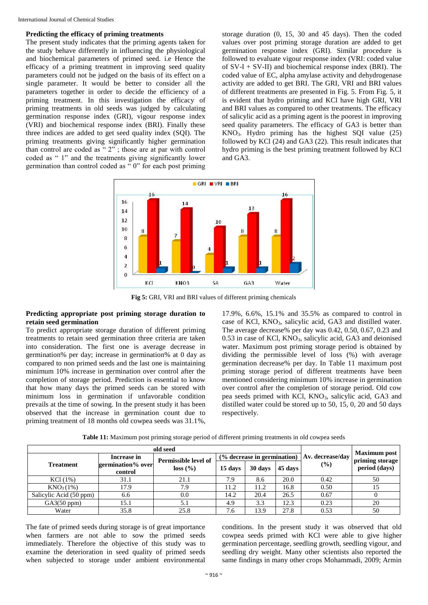### **Predicting the efficacy of priming treatments**

The present study indicates that the priming agents taken for the study behave differently in influencing the physiological and biochemical parameters of primed seed. i.e Hence the efficacy of a priming treatment in improving seed quality parameters could not be judged on the basis of its effect on a single parameter. It would be better to consider all the parameters together in order to decide the efficiency of a priming treatment. In this investigation the efficacy of priming treatments in old seeds was judged by calculating germination response index (GRI), vigour response index (VRI) and biochemical response index (BRI). Finally these three indices are added to get seed quality index (SQI). The priming treatments giving significantly higher germination than control are coded as " 2" ; those are at par with control coded as " 1" and the treatments giving significantly lower germination than control coded as " 0" for each post priming

storage duration (0, 15, 30 and 45 days). Then the coded values over post priming storage duration are added to get germination response index (GRI). Similar procedure is followed to evaluate vigour response index (VRI: coded value of  $SV-I + SV-II$ ) and biochemical response index (BRI). The coded value of EC, alpha amylase activity and dehydrogenase activity are added to get BRI. The GRI, VRI and BRI values of different treatments are presented in Fig. 5. From Fig. 5, it is evident that hydro priming and KCl have high GRI, VRI and BRI values as compared to other treatments. The efficacy of salicylic acid as a priming agent is the poorest in improving seed quality parameters. The efficacy of GA3 is better than  $KNO<sub>3</sub>$ . Hydro priming has the highest SOI value (25) followed by KCl (24) and GA3 (22). This result indicates that hydro priming is the best priming treatment followed by KCl and GA3.



**Fig 5:** GRI, VRI and BRI values of different priming chemicals

# **Predicting appropriate post priming storage duration to retain seed germination**

To predict appropriate storage duration of different priming treatments to retain seed germination three criteria are taken into consideration. The first one is average decrease in germination% per day; increase in germination% at 0 day as compared to non primed seeds and the last one is maintaining minimum 10% increase in germination over control after the completion of storage period. Prediction is essential to know that how many days the primed seeds can be stored with minimum loss in germination if unfavorable condition prevails at the time of sowing. In the present study it has been observed that the increase in germination count due to priming treatment of 18 months old cowpea seeds was 31.1%,

17.9%, 6.6%, 15.1% and 35.5% as compared to control in case of KCl, KNO3, salicylic acid, GA3 and distilled water. The average decrease% per day was 0.42, 0.50, 0.67, 0.23 and  $0.53$  in case of KCl, KNO<sub>3</sub>, salicylic acid, GA3 and deionised water. Maximum post priming storage period is obtained by dividing the permissible level of loss (%) with average germination decrease% per day. In Table 11 maximum post priming storage period of different treatments have been mentioned considering minimum 10% increase in germination over control after the completion of storage period. Old cow pea seeds primed with KCl, KNO3, salicylic acid, GA3 and distilled water could be stored up to 50, 15, 0, 20 and 50 days respectively.

|                         | Increase in<br>Permissible level of |          |         | (% decrease in germination) |         | Av. decrease/day | <b>Maximum</b> post<br>priming storage |
|-------------------------|-------------------------------------|----------|---------|-----------------------------|---------|------------------|----------------------------------------|
| <b>Treatment</b>        | germination% over<br>control        | loss (%) | 15 days | 30 days                     | 45 days | (%)              | period (days)                          |
| $KCl(1\%)$              | 31.1                                | 21.1     | 7.9     | 8.6                         | 20.0    | 0.42             | 50                                     |
| KNO <sub>3</sub> (1%)   | 17.9                                | 7.9      | 11.2    | 11.2                        | 16.8    | 0.50             |                                        |
| Salicylic Acid (50 ppm) | 6.6                                 | $0.0\,$  | 14.2    | 20.4                        | 26.5    | 0.67             |                                        |
| GA3(50 ppm)             | 5.1                                 |          | 4.9     | 3.3                         | 12.3    | 0.23             | 20                                     |
| Water                   | 35.8                                | 25.8     | 7.6     | 13.9                        | 27.8    | 0.53             | 50                                     |

**Table 11:** Maximum post priming storage period of different priming treatments in old cowpea seeds

The fate of primed seeds during storage is of great importance when farmers are not able to sow the primed seeds immediately. Therefore the objective of this study was to examine the deterioration in seed quality of primed seeds when subjected to storage under ambient environmental

conditions. In the present study it was observed that old cowpea seeds primed with KCl were able to give higher germination percentage, seedling growth, seedling vigour, and seedling dry weight. Many other scientists also reported the same findings in many other crops Mohammadi, 2009; Armin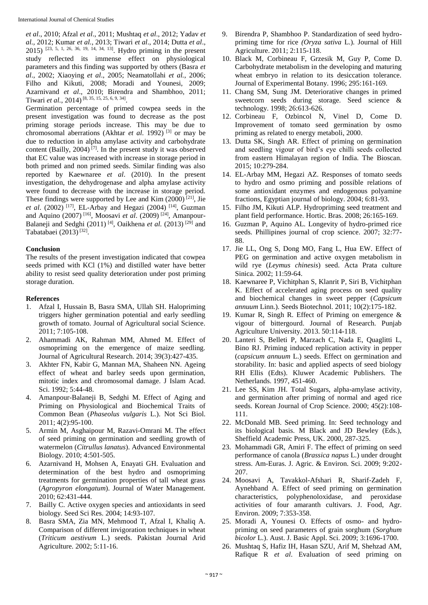*et al*., 2010; Afzal *et al*., 2011; Mushtaq *et al*., 2012; Yadav *et al.,* 2012; Kumar *et al.*, 2013; Tiwari *et al*., 2014; Dutta *et al*., 2015) [23, 5, 1, 26, 36, 19, 14, 34, 13] . Hydro priming in the present study reflected its immense effect on physiological parameters and this finding was supported by others (Basra *et al*., 2002; Xiaoying *et al*., 2005; Neamatollahi *et al.*, 2006; Filho and Kikuti, 2008; Moradi and Younesi, 2009; Azarnivand *et al*., 2010; Birendra and Shambhoo, 2011; Tiwari *et al.*, 2014) [8, 35, 15, 25, 6, 9, 34] .

Germination percentage of primed cowpea seeds in the present investigation was found to decrease as the post priming storage periods increase. This may be due to chromosomal aberrations (Akhtar *et al*. 1992) [3] or may be due to reduction in alpha amylase activity and carbohydrate content (Bailly, 2004)<sup>[7]</sup>. In the present study it was observed that EC value was increased with increase in storage period in both primed and non primed seeds. Similar finding was also reported by Kaewnaree *et al*. (2010). In the present investigation, the dehydrogenase and alpha amylase activity were found to decrease with the increase in storage period. These findings were supported by Lee and Kim  $(2000)^{[21]}$ , Jie *et al*. (2002) [17], EL-Arbay and Hegazi (2004) [14], Guzman and Aquino (2007) [16], Moosavi *et al*. (2009) [24], Amanpour-Balaneji and Sedghi (2011)<sup>[4]</sup>, Oaikhena *et al.* (2013)<sup>[29]</sup> and Tabatabaei (2013)<sup>[32]</sup>.

# **Conclusion**

The results of the present investigation indicated that cowpea seeds primed with KCl (1%) and distilled water have better ability to resist seed quality deterioration under post priming storage duration.

# **References**

- 1. Afzal I, Hussain B, Basra SMA, Ullah SH. Halopriming triggers higher germination potential and early seedling growth of tomato. Journal of Agricultural social Science. 2011; 7:105-108.
- 2. Ahammadi AK, Rahman MM, Ahmed M. Effect of osmopriming on the emergence of maize seedling. Journal of Agricultural Research. 2014; 39(3):427-435.
- 3. Akhter FN, Kabir G, Mannan MA, Shaheen NN. Ageing effect of wheat and barley seeds upon germination, mitotic index and chromosomal damage. J Islam Acad. Sci. 1992; 5:44-48.
- 4. Amanpour-Balaneji B, Sedghi M. Effect of Aging and Priming on Physiological and Biochemical Traits of Common Bean (*Phaseolus vulgaris* L.). Not Sci Biol. 2011; 4(2):95-100.
- 5. Armin M, Asghaipour M, Razavi-Omrani M. The effect of seed priming on germination and seedling growth of watermelon (*Citrullus lanatus*). Advanced Environmental Biology. 2010; 4:501-505.
- 6. Azarnivand H, Mohsen A, Enayati GH. Evaluation and determination of the best hydro and osmopriming treatments for germination properties of tall wheat grass (*Agropyron elongatum*). Journal of Water Management. 2010; 62:431-444.
- 7. Bailly C. Active oxygen species and antioxidants in seed biology. Seed Sci Res. 2004; 14:93-107.
- 8. Basra SMA, Zia MN, Mehmood T, Afzal I, Khaliq A. Comparison of different invigoration techniques in wheat (*Triticum aestivum* L.) seeds. Pakistan Journal Arid Agriculture. 2002; 5:11-16.
- 9. Birendra P, Shambhoo P. Standardization of seed hydropriming time for rice *(Oryza sativa* L.). Journal of Hill Agriculture. 2011; 2:115-118.
- 10. Black M, Corbineau F, Grzesik M, Guy P, Come D. Carbohydrate metabolism in the developing and maturing wheat embryo in relation to its desiccation tolerance. Journal of Experimental Botany. 1996; 295:161-169.
- 11. Chang SM, Sung JM. Deteriorative changes in primed sweetcorn seeds during storage. Seed science & technology. 1998; 26:613-626.
- 12. Corbineau F, Ozbincol N, Vinel D, Come D. Improvement of tomato seed germination by osmo priming as related to energy metaboli, 2000.
- 13. Dutta SK, Singh AR. Effect of priming on germination and seedling vigour of bird's eye chilli seeds collected from eastern Himalayan region of India. The Bioscan. 2015; 10:279-284.
- 14. EL-Arbay MM, Hegazi AZ. Responses of tomato seeds to hydro and osmo priming and possible relations of some antioxidant enzymes and endogenous polyamine fractions, Egyptian journal of biology. 2004; 6:81-93.
- 15. Filho JM, Kikuti ALP. Hydropriming seed treatment and plant field performance*.* Hortic. Bras. 2008; 26:165-169.
- 16. Guzman P, Aquino AL. Longevity of hydro-primed rice seeds. Phillipines journal of crop science. 2007; 32:77- 88.
- 17. Jie LL, Ong S, Dong MO, Fang L, Hua EW. Effect of PEG on germination and active oxygen metabolism in wild rye (*Leymus chinesis*) seed. Acta Prata culture Sinica. 2002; 11:59-64.
- 18. Kaewnaree P, Vichitphan S, Klanrit P, Siri B, Vichitphan K. Effect of accelerated aging process on seed quality and biochemical changes in sweet pepper (*Capsicum annuum* Linn.). Seeds Biotechnol. 2011; 10(2):175-182.
- 19. Kumar R, Singh R. Effect of Priming on emergence & vigour of bittergourd. Journal of Research. Punjab Agriculture University. 2013. 50:114-118.
- 20. Lanteri S, Belleti P, Marzach C, Nada E, Quaglitti L, Bino RJ. Priming induced replication activity in pepper (*capsicum annuum* L.) seeds. Effect on germination and storability. In: basic and applied aspects of seed biology RH Ellis (Edts). Kluwer Academic Publishers. The Netherlands. 1997, 451-460.
- 21. Lee SS, Kim JH. Total Sugars, alpha-amylase activity, and germination after priming of normal and aged rice seeds. Korean Journal of Crop Science. 2000; 45(2):108- 111.
- 22. McDonald MB. Seed priming. In: Seed technology and its biological basis. M Black and JD Bewley (Eds.), Sheffield Academic Press, UK. 2000, 287-325.
- 23. Mohammadi GR, Amiri F. The effect of priming on seed performance of canola (*Brassica napus* L.) under drought stress. Am-Euras. J. Agric. & Environ. Sci. 2009; 9:202- 207.
- 24. Moosavi A, Tavakkol-Afshari R, Sharif-Zadeh F, Aynehband A. Effect of seed priming on germination characteristics, polyphenoloxidase, and peroxidase activities of four amaranth cultivars. J. Food, Agr. Environ. 2009; 7:353-358.
- 25. Moradi A, Younesi O. Effects of osmo- and hydropriming on seed parameters of grain sorghum (*Sorghum bicolor* L.). Aust. J. Basic Appl. Sci. 2009; 3:1696-1700.
- 26. Mushtaq S, Hafiz IH, Hasan SZU, Arif M, Shehzad AM, Rafique R *et al*. Evaluation of seed priming on